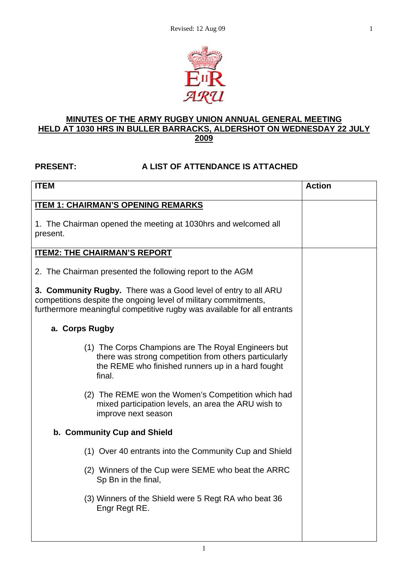

#### **MINUTES OF THE ARMY RUGBY UNION ANNUAL GENERAL MEETING HELD AT 1030 HRS IN BULLER BARRACKS, ALDERSHOT ON WEDNESDAY 22 JULY 2009**

## **PRESENT: A LIST OF ATTENDANCE IS ATTACHED**

| <b>ITEM</b>                                                                                                                                                                                                  | <b>Action</b> |
|--------------------------------------------------------------------------------------------------------------------------------------------------------------------------------------------------------------|---------------|
| <b>ITEM 1: CHAIRMAN'S OPENING REMARKS</b>                                                                                                                                                                    |               |
| 1. The Chairman opened the meeting at 1030hrs and welcomed all<br>present.                                                                                                                                   |               |
| <b>ITEM2: THE CHAIRMAN'S REPORT</b>                                                                                                                                                                          |               |
| 2. The Chairman presented the following report to the AGM                                                                                                                                                    |               |
| 3. Community Rugby. There was a Good level of entry to all ARU<br>competitions despite the ongoing level of military commitments,<br>furthermore meaningful competitive rugby was available for all entrants |               |
| a. Corps Rugby                                                                                                                                                                                               |               |
| (1) The Corps Champions are The Royal Engineers but<br>there was strong competition from others particularly<br>the REME who finished runners up in a hard fought<br>final.                                  |               |
| (2) The REME won the Women's Competition which had<br>mixed participation levels, an area the ARU wish to<br>improve next season                                                                             |               |
| b. Community Cup and Shield                                                                                                                                                                                  |               |
| (1) Over 40 entrants into the Community Cup and Shield                                                                                                                                                       |               |
| (2) Winners of the Cup were SEME who beat the ARRC<br>Sp Bn in the final,                                                                                                                                    |               |
| (3) Winners of the Shield were 5 Regt RA who beat 36<br>Engr Regt RE.                                                                                                                                        |               |
|                                                                                                                                                                                                              |               |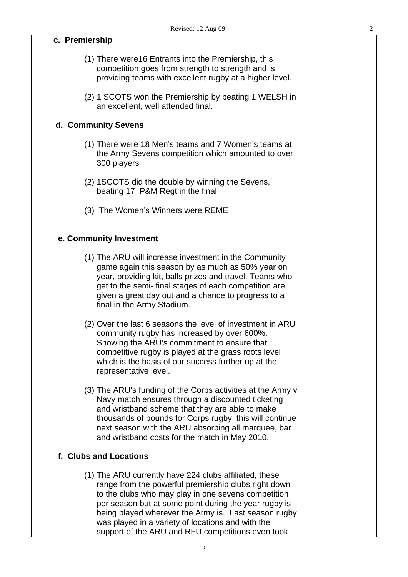**c. Premiership** 

| (1) There were 16 Entrants into the Premiership, this<br>competition goes from strength to strength and is<br>providing teams with excellent rugby at a higher level.                                                                                                                                                                                                                            |  |
|--------------------------------------------------------------------------------------------------------------------------------------------------------------------------------------------------------------------------------------------------------------------------------------------------------------------------------------------------------------------------------------------------|--|
| (2) 1 SCOTS won the Premiership by beating 1 WELSH in<br>an excellent, well attended final.                                                                                                                                                                                                                                                                                                      |  |
| d. Community Sevens                                                                                                                                                                                                                                                                                                                                                                              |  |
| (1) There were 18 Men's teams and 7 Women's teams at<br>the Army Sevens competition which amounted to over<br>300 players                                                                                                                                                                                                                                                                        |  |
| (2) 1SCOTS did the double by winning the Sevens,<br>beating 17 P&M Regt in the final                                                                                                                                                                                                                                                                                                             |  |
| (3) The Women's Winners were REME                                                                                                                                                                                                                                                                                                                                                                |  |
| e. Community Investment                                                                                                                                                                                                                                                                                                                                                                          |  |
| (1) The ARU will increase investment in the Community<br>game again this season by as much as 50% year on<br>year, providing kit, balls prizes and travel. Teams who<br>get to the semi- final stages of each competition are<br>given a great day out and a chance to progress to a<br>final in the Army Stadium.                                                                               |  |
| (2) Over the last 6 seasons the level of investment in ARU<br>community rugby has increased by over 600%.<br>Showing the ARU's commitment to ensure that<br>competitive rugby is played at the grass roots level<br>which is the basis of our success further up at the<br>representative level.                                                                                                 |  |
| (3) The ARU's funding of the Corps activities at the Army v<br>Navy match ensures through a discounted ticketing<br>and wristband scheme that they are able to make<br>thousands of pounds for Corps rugby, this will continue<br>next season with the ARU absorbing all marquee, bar<br>and wristband costs for the match in May 2010.                                                          |  |
| f. Clubs and Locations                                                                                                                                                                                                                                                                                                                                                                           |  |
| (1) The ARU currently have 224 clubs affiliated, these<br>range from the powerful premiership clubs right down<br>to the clubs who may play in one sevens competition<br>per season but at some point during the year rugby is<br>being played wherever the Army is. Last season rugby<br>was played in a variety of locations and with the<br>support of the ARU and RFU competitions even took |  |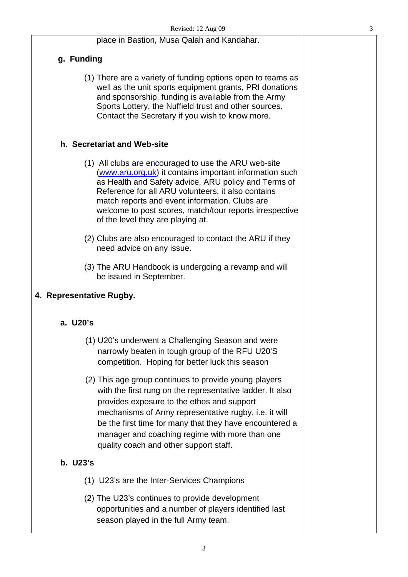|                          | place in Bastion, Musa Qalah and Kandahar.                                                                                                                                                                                                                                                                                                                                       |  |
|--------------------------|----------------------------------------------------------------------------------------------------------------------------------------------------------------------------------------------------------------------------------------------------------------------------------------------------------------------------------------------------------------------------------|--|
| g. Funding               |                                                                                                                                                                                                                                                                                                                                                                                  |  |
|                          | (1) There are a variety of funding options open to teams as<br>well as the unit sports equipment grants, PRI donations<br>and sponsorship, funding is available from the Army<br>Sports Lottery, the Nuffield trust and other sources.<br>Contact the Secretary if you wish to know more.                                                                                        |  |
|                          | h. Secretariat and Web-site                                                                                                                                                                                                                                                                                                                                                      |  |
|                          | (1) All clubs are encouraged to use the ARU web-site<br>(www.aru.org.uk) it contains important information such<br>as Health and Safety advice, ARU policy and Terms of<br>Reference for all ARU volunteers, it also contains<br>match reports and event information. Clubs are<br>welcome to post scores, match/tour reports irrespective<br>of the level they are playing at.  |  |
|                          | (2) Clubs are also encouraged to contact the ARU if they<br>need advice on any issue.                                                                                                                                                                                                                                                                                            |  |
|                          | (3) The ARU Handbook is undergoing a revamp and will<br>be issued in September.                                                                                                                                                                                                                                                                                                  |  |
| 4. Representative Rugby. |                                                                                                                                                                                                                                                                                                                                                                                  |  |
| a. U20's                 |                                                                                                                                                                                                                                                                                                                                                                                  |  |
|                          | (1) U20's underwent a Challenging Season and were<br>narrowly beaten in tough group of the RFU U20'S<br>competition. Hoping for better luck this season                                                                                                                                                                                                                          |  |
|                          | (2) This age group continues to provide young players<br>with the first rung on the representative ladder. It also<br>provides exposure to the ethos and support<br>mechanisms of Army representative rugby, i.e. it will<br>be the first time for many that they have encountered a<br>manager and coaching regime with more than one<br>quality coach and other support staff. |  |
| b. U23's                 |                                                                                                                                                                                                                                                                                                                                                                                  |  |
|                          | (1) U23's are the Inter-Services Champions                                                                                                                                                                                                                                                                                                                                       |  |
|                          | (2) The U23's continues to provide development<br>opportunities and a number of players identified last<br>season played in the full Army team.                                                                                                                                                                                                                                  |  |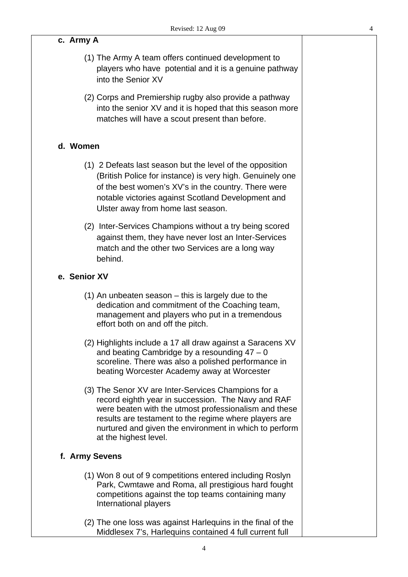## **c. Army A**

- (1) The Army A team offers continued development to players who have potential and it is a genuine pathway into the Senior XV
- (2) Corps and Premiership rugby also provide a pathway into the senior XV and it is hoped that this season more matches will have a scout present than before.

### **d. Women**

- (1) 2 Defeats last season but the level of the opposition (British Police for instance) is very high. Genuinely one of the best women's XV's in the country. There were notable victories against Scotland Development and Ulster away from home last season.
- (2) Inter-Services Champions without a try being scored against them, they have never lost an Inter-Services match and the other two Services are a long way behind.

#### **e. Senior XV**

- (1) An unbeaten season this is largely due to the dedication and commitment of the Coaching team, management and players who put in a tremendous effort both on and off the pitch.
- (2) Highlights include a 17 all draw against a Saracens XV and beating Cambridge by a resounding  $47 - 0$ scoreline. There was also a polished performance in beating Worcester Academy away at Worcester
- (3) The Senor XV are Inter-Services Champions for a record eighth year in succession. The Navy and RAF were beaten with the utmost professionalism and these results are testament to the regime where players are nurtured and given the environment in which to perform at the highest level.

#### **f. Army Sevens**

- (1) Won 8 out of 9 competitions entered including Roslyn Park, Cwmtawe and Roma, all prestigious hard fought competitions against the top teams containing many International players
- (2) The one loss was against Harlequins in the final of the Middlesex 7's, Harlequins contained 4 full current full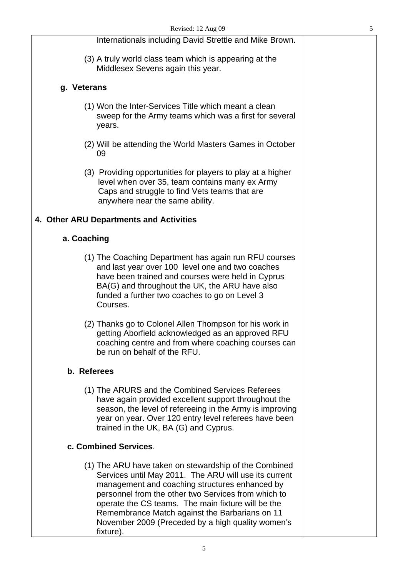|             | Internationals including David Strettle and Mike Brown.                                                                                                                                                                                                                                                                                                                                           |  |
|-------------|---------------------------------------------------------------------------------------------------------------------------------------------------------------------------------------------------------------------------------------------------------------------------------------------------------------------------------------------------------------------------------------------------|--|
|             | (3) A truly world class team which is appearing at the<br>Middlesex Sevens again this year.                                                                                                                                                                                                                                                                                                       |  |
| g. Veterans |                                                                                                                                                                                                                                                                                                                                                                                                   |  |
|             | (1) Won the Inter-Services Title which meant a clean<br>sweep for the Army teams which was a first for several<br>years.                                                                                                                                                                                                                                                                          |  |
|             | (2) Will be attending the World Masters Games in October<br>09                                                                                                                                                                                                                                                                                                                                    |  |
|             | (3) Providing opportunities for players to play at a higher<br>level when over 35, team contains many ex Army<br>Caps and struggle to find Vets teams that are<br>anywhere near the same ability.                                                                                                                                                                                                 |  |
|             | 4. Other ARU Departments and Activities                                                                                                                                                                                                                                                                                                                                                           |  |
| a. Coaching |                                                                                                                                                                                                                                                                                                                                                                                                   |  |
|             | (1) The Coaching Department has again run RFU courses<br>and last year over 100 level one and two coaches<br>have been trained and courses were held in Cyprus<br>BA(G) and throughout the UK, the ARU have also<br>funded a further two coaches to go on Level 3<br>Courses.                                                                                                                     |  |
|             | (2) Thanks go to Colonel Allen Thompson for his work in<br>getting Aborfield acknowledged as an approved RFU<br>coaching centre and from where coaching courses can<br>be run on behalf of the RFU.                                                                                                                                                                                               |  |
| b. Referees |                                                                                                                                                                                                                                                                                                                                                                                                   |  |
|             | (1) The ARURS and the Combined Services Referees<br>have again provided excellent support throughout the<br>season, the level of refereeing in the Army is improving<br>year on year. Over 120 entry level referees have been<br>trained in the UK, BA (G) and Cyprus.                                                                                                                            |  |
|             | c. Combined Services.                                                                                                                                                                                                                                                                                                                                                                             |  |
|             | (1) The ARU have taken on stewardship of the Combined<br>Services until May 2011. The ARU will use its current<br>management and coaching structures enhanced by<br>personnel from the other two Services from which to<br>operate the CS teams. The main fixture will be the<br>Remembrance Match against the Barbarians on 11<br>November 2009 (Preceded by a high quality women's<br>fixture). |  |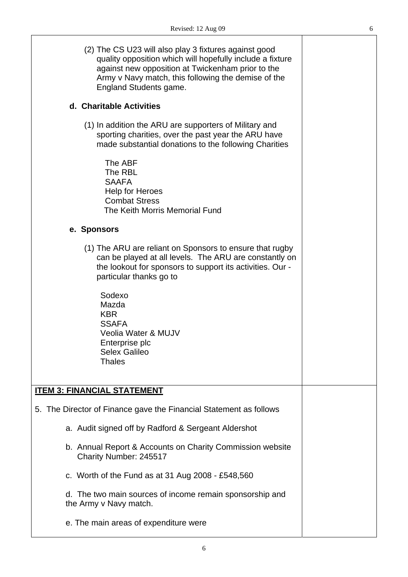| ٦<br>×<br>۰. |  |
|--------------|--|
|              |  |

┯

| (2) The CS U23 will also play 3 fixtures against good<br>quality opposition which will hopefully include a fixture<br>against new opposition at Twickenham prior to the<br>Army v Navy match, this following the demise of the<br><b>England Students game.</b> |  |
|-----------------------------------------------------------------------------------------------------------------------------------------------------------------------------------------------------------------------------------------------------------------|--|
| d. Charitable Activities                                                                                                                                                                                                                                        |  |
| (1) In addition the ARU are supporters of Military and<br>sporting charities, over the past year the ARU have<br>made substantial donations to the following Charities                                                                                          |  |
| The ABF<br>The RBL<br><b>SAAFA</b><br><b>Help for Heroes</b><br><b>Combat Stress</b><br>The Keith Morris Memorial Fund                                                                                                                                          |  |
| e. Sponsors                                                                                                                                                                                                                                                     |  |
| (1) The ARU are reliant on Sponsors to ensure that rugby<br>can be played at all levels. The ARU are constantly on<br>the lookout for sponsors to support its activities. Our -<br>particular thanks go to                                                      |  |
| Sodexo<br>Mazda<br><b>KBR</b><br><b>SSAFA</b><br>Veolia Water & MUJV<br>Enterprise plc<br><b>Selex Galileo</b><br><b>Thales</b>                                                                                                                                 |  |
| <b>ITEM 3: FINANCIAL STATEMENT</b>                                                                                                                                                                                                                              |  |
| 5. The Director of Finance gave the Financial Statement as follows                                                                                                                                                                                              |  |
| a. Audit signed off by Radford & Sergeant Aldershot                                                                                                                                                                                                             |  |
| b. Annual Report & Accounts on Charity Commission website<br>Charity Number: 245517                                                                                                                                                                             |  |
| c. Worth of the Fund as at 31 Aug $2008 - £548,560$                                                                                                                                                                                                             |  |
| d. The two main sources of income remain sponsorship and<br>the Army v Navy match.                                                                                                                                                                              |  |
| e. The main areas of expenditure were                                                                                                                                                                                                                           |  |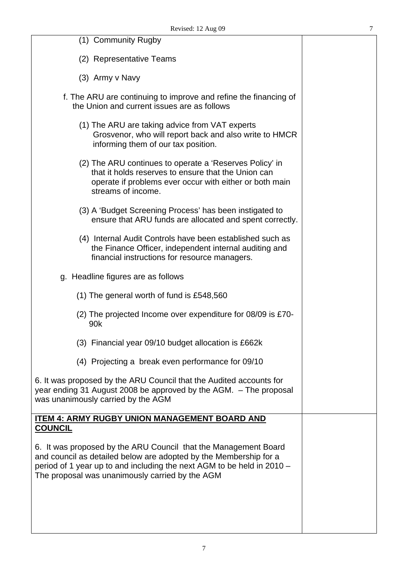| (1) Community Rugby                                                                                                                                                                                                                                               |  |
|-------------------------------------------------------------------------------------------------------------------------------------------------------------------------------------------------------------------------------------------------------------------|--|
| (2) Representative Teams                                                                                                                                                                                                                                          |  |
| (3) Army v Navy                                                                                                                                                                                                                                                   |  |
| f. The ARU are continuing to improve and refine the financing of<br>the Union and current issues are as follows                                                                                                                                                   |  |
| (1) The ARU are taking advice from VAT experts<br>Grosvenor, who will report back and also write to HMCR<br>informing them of our tax position.                                                                                                                   |  |
| (2) The ARU continues to operate a 'Reserves Policy' in<br>that it holds reserves to ensure that the Union can<br>operate if problems ever occur with either or both main<br>streams of income.                                                                   |  |
| (3) A 'Budget Screening Process' has been instigated to<br>ensure that ARU funds are allocated and spent correctly.                                                                                                                                               |  |
| (4) Internal Audit Controls have been established such as<br>the Finance Officer, independent internal auditing and<br>financial instructions for resource managers.                                                                                              |  |
| g. Headline figures are as follows                                                                                                                                                                                                                                |  |
| (1) The general worth of fund is £548,560                                                                                                                                                                                                                         |  |
| (2) The projected Income over expenditure for 08/09 is £70-<br>90k                                                                                                                                                                                                |  |
| (3) Financial year 09/10 budget allocation is £662k                                                                                                                                                                                                               |  |
| (4) Projecting a break even performance for 09/10                                                                                                                                                                                                                 |  |
| 6. It was proposed by the ARU Council that the Audited accounts for<br>year ending 31 August 2008 be approved by the AGM. - The proposal<br>was unanimously carried by the AGM                                                                                    |  |
| <b>ITEM 4: ARMY RUGBY UNION MANAGEMENT BOARD AND</b><br><b>COUNCIL</b>                                                                                                                                                                                            |  |
| 6. It was proposed by the ARU Council that the Management Board<br>and council as detailed below are adopted by the Membership for a<br>period of 1 year up to and including the next AGM to be held in 2010 -<br>The proposal was unanimously carried by the AGM |  |
|                                                                                                                                                                                                                                                                   |  |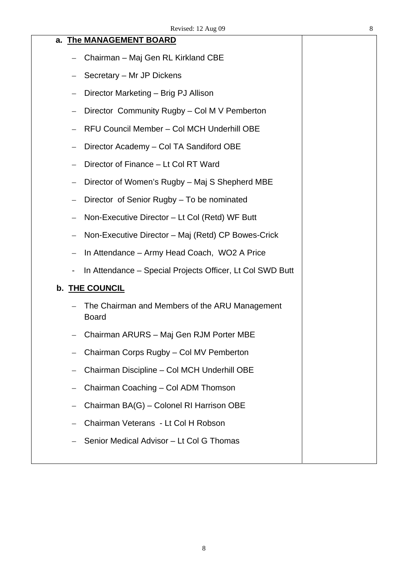#### **a. The MANAGEMENT BOARD**

- Chairman Maj Gen RL Kirkland CBE
- Secretary Mr JP Dickens
- Director Marketing Brig PJ Allison
- Director Community Rugby Col M V Pemberton
- RFU Council Member Col MCH Underhill OBE
- Director Academy Col TA Sandiford OBE
- Director of Finance Lt Col RT Ward
- Director of Women's Rugby Maj S Shepherd MBE
- Director of Senior Rugby To be nominated
- Non-Executive Director Lt Col (Retd) WF Butt
- Non-Executive Director Maj (Retd) CP Bowes-Crick
- In Attendance Army Head Coach, WO2 A Price
- In Attendance Special Projects Officer, Lt Col SWD Butt

#### **b. THE COUNCIL**

- The Chairman and Members of the ARU Management Board
- Chairman ARURS Maj Gen RJM Porter MBE
- Chairman Corps Rugby Col MV Pemberton
- Chairman Discipline Col MCH Underhill OBE
- Chairman Coaching Col ADM Thomson
- Chairman BA(G) Colonel RI Harrison OBE
- Chairman Veterans Lt Col H Robson
- Senior Medical Advisor Lt Col G Thomas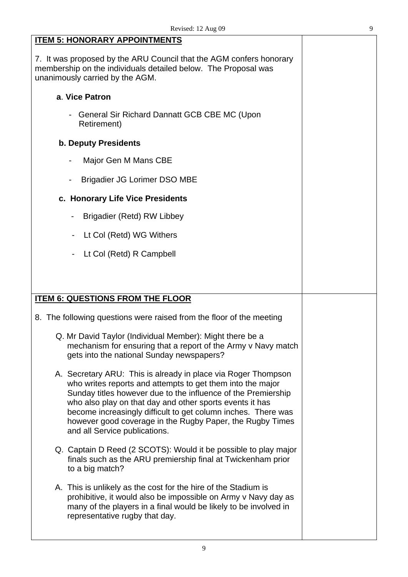| ٠<br>٦             |
|--------------------|
|                    |
| ×<br>i             |
| I<br>۰,<br>I<br>۰. |

| <b>ITEM 5: HONORARY APPOINTMENTS</b>                                                                                                                                                                                                                                                                                                                                                                                    |  |
|-------------------------------------------------------------------------------------------------------------------------------------------------------------------------------------------------------------------------------------------------------------------------------------------------------------------------------------------------------------------------------------------------------------------------|--|
| 7. It was proposed by the ARU Council that the AGM confers honorary<br>membership on the individuals detailed below. The Proposal was<br>unanimously carried by the AGM.                                                                                                                                                                                                                                                |  |
| a. Vice Patron                                                                                                                                                                                                                                                                                                                                                                                                          |  |
| General Sir Richard Dannatt GCB CBE MC (Upon<br>Retirement)                                                                                                                                                                                                                                                                                                                                                             |  |
| <b>b. Deputy Presidents</b>                                                                                                                                                                                                                                                                                                                                                                                             |  |
| Major Gen M Mans CBE                                                                                                                                                                                                                                                                                                                                                                                                    |  |
| <b>Brigadier JG Lorimer DSO MBE</b>                                                                                                                                                                                                                                                                                                                                                                                     |  |
| c. Honorary Life Vice Presidents                                                                                                                                                                                                                                                                                                                                                                                        |  |
| Brigadier (Retd) RW Libbey<br>$\blacksquare$                                                                                                                                                                                                                                                                                                                                                                            |  |
| Lt Col (Retd) WG Withers<br>$\qquad \qquad \blacksquare$                                                                                                                                                                                                                                                                                                                                                                |  |
| Lt Col (Retd) R Campbell                                                                                                                                                                                                                                                                                                                                                                                                |  |
|                                                                                                                                                                                                                                                                                                                                                                                                                         |  |
|                                                                                                                                                                                                                                                                                                                                                                                                                         |  |
|                                                                                                                                                                                                                                                                                                                                                                                                                         |  |
| <b>ITEM 6: QUESTIONS FROM THE FLOOR</b>                                                                                                                                                                                                                                                                                                                                                                                 |  |
| 8. The following questions were raised from the floor of the meeting                                                                                                                                                                                                                                                                                                                                                    |  |
| Q. Mr David Taylor (Individual Member): Might there be a<br>mechanism for ensuring that a report of the Army v Navy match<br>gets into the national Sunday newspapers?                                                                                                                                                                                                                                                  |  |
| A. Secretary ARU: This is already in place via Roger Thompson<br>who writes reports and attempts to get them into the major<br>Sunday titles however due to the influence of the Premiership<br>who also play on that day and other sports events it has<br>become increasingly difficult to get column inches. There was<br>however good coverage in the Rugby Paper, the Rugby Times<br>and all Service publications. |  |
| Q. Captain D Reed (2 SCOTS): Would it be possible to play major<br>finals such as the ARU premiership final at Twickenham prior<br>to a big match?                                                                                                                                                                                                                                                                      |  |
| A. This is unlikely as the cost for the hire of the Stadium is<br>prohibitive, it would also be impossible on Army v Navy day as<br>many of the players in a final would be likely to be involved in<br>representative rugby that day.                                                                                                                                                                                  |  |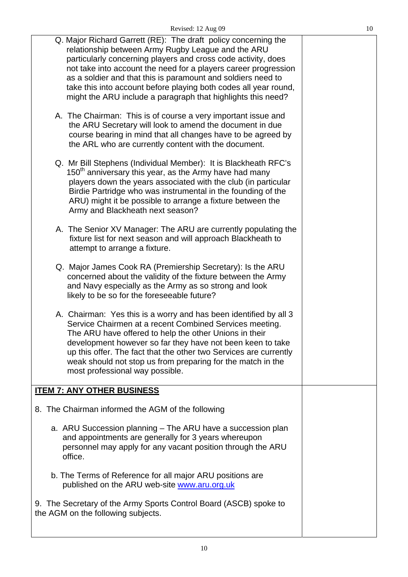| ۰,     |
|--------|
| I<br>I |

| Q. Major Richard Garrett (RE): The draft policy concerning the<br>relationship between Army Rugby League and the ARU<br>particularly concerning players and cross code activity, does<br>not take into account the need for a players career progression<br>as a soldier and that this is paramount and soldiers need to<br>take this into account before playing both codes all year round,<br>might the ARU include a paragraph that highlights this need?<br>A. The Chairman: This is of course a very important issue and<br>the ARU Secretary will look to amend the document in due<br>course bearing in mind that all changes have to be agreed by<br>the ARL who are currently content with the document. |  |
|-------------------------------------------------------------------------------------------------------------------------------------------------------------------------------------------------------------------------------------------------------------------------------------------------------------------------------------------------------------------------------------------------------------------------------------------------------------------------------------------------------------------------------------------------------------------------------------------------------------------------------------------------------------------------------------------------------------------|--|
| Q. Mr Bill Stephens (Individual Member): It is Blackheath RFC's<br>150 <sup>th</sup> anniversary this year, as the Army have had many<br>players down the years associated with the club (in particular<br>Birdie Partridge who was instrumental in the founding of the<br>ARU) might it be possible to arrange a fixture between the<br>Army and Blackheath next season?                                                                                                                                                                                                                                                                                                                                         |  |
| A. The Senior XV Manager: The ARU are currently populating the<br>fixture list for next season and will approach Blackheath to<br>attempt to arrange a fixture.                                                                                                                                                                                                                                                                                                                                                                                                                                                                                                                                                   |  |
| Q. Major James Cook RA (Premiership Secretary): Is the ARU<br>concerned about the validity of the fixture between the Army<br>and Navy especially as the Army as so strong and look<br>likely to be so for the foreseeable future?                                                                                                                                                                                                                                                                                                                                                                                                                                                                                |  |
| A. Chairman: Yes this is a worry and has been identified by all 3<br>Service Chairmen at a recent Combined Services meeting.<br>The ARU have offered to help the other Unions in their<br>development however so far they have not been keen to take<br>up this offer. The fact that the other two Services are currently<br>weak should not stop us from preparing for the match in the<br>most professional way possible.                                                                                                                                                                                                                                                                                       |  |
| <b>ITEM 7: ANY OTHER BUSINESS</b>                                                                                                                                                                                                                                                                                                                                                                                                                                                                                                                                                                                                                                                                                 |  |
| 8. The Chairman informed the AGM of the following                                                                                                                                                                                                                                                                                                                                                                                                                                                                                                                                                                                                                                                                 |  |
| a. ARU Succession planning - The ARU have a succession plan<br>and appointments are generally for 3 years whereupon<br>personnel may apply for any vacant position through the ARU<br>office.                                                                                                                                                                                                                                                                                                                                                                                                                                                                                                                     |  |
| b. The Terms of Reference for all major ARU positions are<br>published on the ARU web-site www.aru.org.uk                                                                                                                                                                                                                                                                                                                                                                                                                                                                                                                                                                                                         |  |
| 9. The Secretary of the Army Sports Control Board (ASCB) spoke to<br>the AGM on the following subjects.                                                                                                                                                                                                                                                                                                                                                                                                                                                                                                                                                                                                           |  |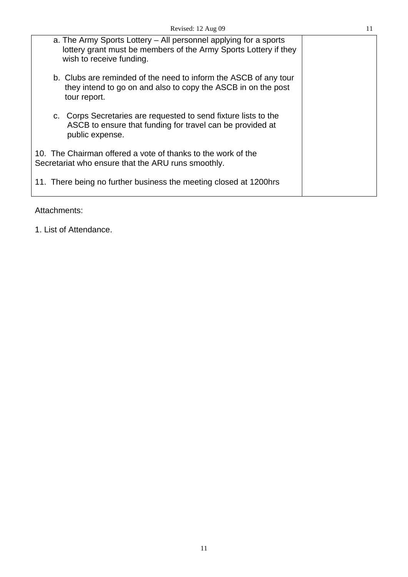| a. The Army Sports Lottery – All personnel applying for a sports<br>lottery grant must be members of the Army Sports Lottery if they<br>wish to receive funding. |  |
|------------------------------------------------------------------------------------------------------------------------------------------------------------------|--|
| b. Clubs are reminded of the need to inform the ASCB of any tour<br>they intend to go on and also to copy the ASCB in on the post<br>tour report.                |  |
| c. Corps Secretaries are requested to send fixture lists to the<br>ASCB to ensure that funding for travel can be provided at<br>public expense.                  |  |
| 10. The Chairman offered a vote of thanks to the work of the<br>Secretariat who ensure that the ARU runs smoothly.                                               |  |
| 11. There being no further business the meeting closed at 1200hrs                                                                                                |  |
|                                                                                                                                                                  |  |

Attachments:

1. List of Attendance.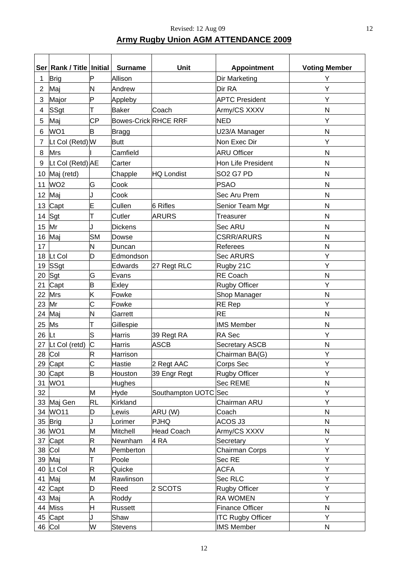# **Army Rugby Union AGM ATTENDANCE 2009**

|                 | Ser Rank / Title   Initial |           | <b>Surname</b>              | Unit                      | <b>Appointment</b>                | <b>Voting Member</b> |
|-----------------|----------------------------|-----------|-----------------------------|---------------------------|-----------------------------------|----------------------|
| 1               | <b>Brig</b>                | P         | Allison                     |                           | <b>Dir Marketing</b>              | Y                    |
| $\overline{2}$  | Maj                        | N         | Andrew                      |                           | Dir RA                            | Y                    |
| 3               | Major                      | P         | Appleby                     |                           | <b>APTC President</b>             | Υ                    |
| 4               | SSgt                       | т         | <b>Baker</b>                | Coach                     | Army/CS XXXV                      | N                    |
|                 |                            | <b>CP</b> | <b>Bowes-Crick RHCE RRF</b> |                           | <b>NED</b>                        | Υ                    |
| 5               | Maj                        |           |                             |                           |                                   |                      |
| 6               | WO1                        | B         | <b>Bragg</b>                |                           | U23/A Manager                     | N                    |
| 7               | Lt Col (Retd) W            |           | <b>Butt</b>                 |                           | Non Exec Dir                      | Υ                    |
| 8               | <b>Mrs</b>                 |           | Camfield                    |                           | <b>ARU Officer</b>                | N                    |
| 9               | Lt Col (Retd) AE           |           | Carter                      |                           | <b>Hon Life President</b>         | N                    |
|                 | 10 Maj (retd)              |           | Chapple                     | <b>HQ Londist</b>         | SO <sub>2</sub> G <sub>7</sub> PD | $\mathsf{N}$         |
| 11              | WO <sub>2</sub>            | G         | Cook                        |                           | <b>PSAO</b>                       | N                    |
| 12 <sub>2</sub> | Maj                        | J         | Cook                        |                           | Sec Aru Prem                      | $\mathsf{N}$         |
| 13              | Capt                       | E         | Cullen                      | 6 Rifles                  | Senior Team Mgr                   | $\mathsf{N}$         |
| 14              | Sgt                        |           | Cutler                      | <b>ARURS</b>              | Treasurer                         | $\mathsf{N}$         |
| 15              | Mr                         | J         | <b>Dickens</b>              |                           | Sec ARU                           | $\mathsf{N}$         |
| 16              | Maj                        | <b>SM</b> | Dowse                       |                           | <b>CSRR/ARURS</b>                 | N                    |
| 17              |                            | N         | Duncan                      |                           | <b>Referees</b>                   | N                    |
|                 | 18 Lt Col                  | D         | Edmondson                   |                           | <b>Sec ARURS</b>                  | Υ                    |
|                 | 19 SSgt                    |           | Edwards                     | 27 Regt RLC               | Rugby 21C                         | Υ                    |
| 20              | Sgt                        | G         | Evans                       |                           | <b>RE Coach</b>                   | N                    |
| 21              | Capt                       | B         | Exley                       |                           | <b>Rugby Officer</b>              | Υ                    |
| 22              | Mrs                        | K         | Fowke                       |                           | Shop Manager                      | N                    |
| 23              | Mr                         | Ć         | Fowke                       |                           | RE Rep                            | Υ                    |
|                 | 24 Maj                     | N         | Garrett                     |                           | <b>RE</b>                         | $\mathsf{N}$         |
| 25              | Ms                         | Т         | Gillespie                   |                           | <b>IMS Member</b>                 | N                    |
| 26              | Lt                         | S         | Harris                      | 39 Regt RA                | <b>RA</b> Sec                     | Υ                    |
|                 | 27 Lt Col (retd)           | C         | Harris                      | ASCB                      | <b>Secretary ASCB</b>             | Ν                    |
|                 | 28 Col                     | R         | Harrison                    |                           | Chairman BA(G)                    | Υ                    |
|                 | 29 Capt                    | C         | Hastie                      | 2 Regt AAC                | Corps Sec                         | Υ                    |
|                 | 30 Capt                    | B         | Houston                     | 39 Engr Regt              | <b>Rugby Officer</b>              | Y                    |
|                 | 31 WO1                     |           | Hughes                      |                           | <b>Sec REME</b>                   | N                    |
| 32              |                            | M         | Hyde                        | Southampton UOTC Sec      |                                   | Υ                    |
|                 | 33 Maj Gen                 | <b>RL</b> | Kirkland                    |                           | Chairman ARU                      | Υ                    |
|                 | 34 WO11                    | D<br>J    | Lewis                       | ARU (W)                   | Coach                             | N                    |
|                 | 35 Brig<br>36 WO1          | M         | Lorimer<br>Mitchell         | <b>PJHQ</b>               | ACOS J3                           | ${\sf N}$<br>N       |
|                 | 37 Capt                    | R         | Newnham                     | <b>Head Coach</b><br>4 RA | Army/CS XXXV<br>Secretary         | Υ                    |
|                 | 38 Col                     | M         | Pemberton                   |                           | <b>Chairman Corps</b>             | Υ                    |
|                 | 39 Maj                     | т         | Poole                       |                           | Sec RE                            | Υ                    |
|                 | 40 Lt Col                  | R         | Quicke                      |                           | <b>ACFA</b>                       | Υ                    |
|                 | 41 Maj                     | M         | Rawlinson                   |                           | Sec RLC                           | Υ                    |
|                 | 42 Capt                    | D         | Reed                        | 2 SCOTS                   | <b>Rugby Officer</b>              | Υ                    |
|                 | 43 Maj                     | Α         | Roddy                       |                           | <b>RA WOMEN</b>                   | Υ                    |
|                 | 44 Miss                    | H         | Russett                     |                           | <b>Finance Officer</b>            | $\mathsf{N}$         |
|                 | 45 Capt                    | J         | Shaw                        |                           | <b>ITC Rugby Officer</b>          | Y                    |
|                 | 46 Col                     | W         | <b>Stevens</b>              |                           | <b>IMS Member</b>                 | N                    |